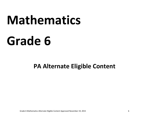# **Mathematics**

# **Grade 6**

**PA Alternate Eligible Content**

Grade 6 Mathematics Alternate Eligible Content Approved November 19, 2015 **1**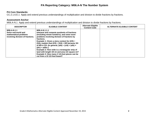# **PA Reporting Category: M06.A-N The Number System**

#### **PA Core Standards:**

CC.2.1.6.E.1 Apply and extend previous understandings of multiplication and division to divide fractions by fractions.

#### **Assessment Anchor**

M06.A-N.1 Apply and extend previous understandings of multiplication and division to divide fractions by fractions.

| <b>DESCRIPTOR</b>                                                                                | <b>ELIGIBLE CONTENT</b>                                                                                                                                                                                                                                                                                                                                                                                                                                                                                                                                                | <b>Alternate Eligible</b><br><b>Content Code</b> | <b>ALTERNATE ELIGIBLE CONTENT</b> |
|--------------------------------------------------------------------------------------------------|------------------------------------------------------------------------------------------------------------------------------------------------------------------------------------------------------------------------------------------------------------------------------------------------------------------------------------------------------------------------------------------------------------------------------------------------------------------------------------------------------------------------------------------------------------------------|--------------------------------------------------|-----------------------------------|
| M06.A-N.1.1<br>Solve real-world and<br>mathematical problems<br>involving division of fractions. | M06.A-N.1.1.1<br>Interpret and compute quotients of fractions<br>(including mixed numbers), and solve word<br>problems involving division of fractions by<br>fractions.<br>Example 1: Given a story context for $(2/3) \div$<br>$(3/4)$ , explain that $(2/3) \div (3/4) = 8/9$ because 3/4<br>of 8/9 is 2/3. (In general, $(a/b) \div (c/d) = (a/b) \times$<br>$(d/c) = ad/bc.)$<br>Example 2: How wide is a rectangular strip of<br>land with length 3/4 mi and area 1/2 square mi?<br>Example 3: How many 2 1/4-foot pieces can be<br>cut from a 15 1/2-foot board? |                                                  |                                   |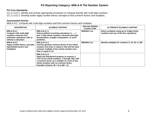# **PA Reporting Category: M06.A-N The Number System**

#### **PA Core Standards:**

CC.2.1.6.E.2 Identify and choose appropriate processes to compute fluently with multi‐digit numbers. CC.2.1.6.E.3 Develop and/or apply number theory concepts to find common factors and multiples.

#### **Assessment Anchor**

M06.A-N.2 Compute with multi-digit numbers and find common factors and multiples.

| <b>DESCRIPTOR</b>                                                                                                                  | <b>ELIGIBLE CONTENT</b>                                                                                                                                                                                                                              | <b>Alternate Eligible</b><br><b>Content Code</b> | <b>ALTERNATE ELIGIBLE CONTENT</b>                                                   |
|------------------------------------------------------------------------------------------------------------------------------------|------------------------------------------------------------------------------------------------------------------------------------------------------------------------------------------------------------------------------------------------------|--------------------------------------------------|-------------------------------------------------------------------------------------|
| M06.A-N.2.1<br><b>Compute with multi-digit</b><br>numbers using the four<br>arithmetic operations with or<br>without a calculator. | M06.A-N.2.1.1<br>Solve problems involving operations $(+, -, x,$<br>and :-) with whole numbers, decimals (through<br>thousandths), straight computation, or word<br>problems.                                                                        | M06AN2.1.1a                                      | Solve a problem using up to 3-digit whole<br>numbers and any of the four operations |
| M06.A-N.2.2<br>Apply number theory concepts<br>(specifically factors and<br>multiples).                                            | M06.A-N.2.2.1<br>Find the greatest common factor of two whole<br>numbers less than or equal to 100 and the least<br>common multiple of two whole numbers less<br>than or equal to 12.                                                                | M06AN2.2.1a                                      | Identify multiples for numbers 5, 10, 25, or 100                                    |
|                                                                                                                                    | M06.A-N.2.2.2<br>Apply the distributive property to express a<br>sum of two whole numbers, 1 through 100, with<br>a common factor as a multiple of a sum of two<br>whole numbers with no common factor.<br>Example: Express $36 + 8$ as $4(9 + 2)$ . |                                                  |                                                                                     |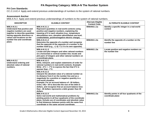# **PA Reporting Category: M06.A-N The Number System**

#### **PA Core Standards:**

CC.2.1.6.E.4 Apply and extend previous understandings of numbers to the system of rational numbers.

#### **Assessment Anchor**

M06.A-N.3 Apply and extend previous understandings of numbers to the system of rational numbers.

| <b>DESCRIPTOR</b>                                                                                                                                                                                                   | <b>ELIGIBLE CONTENT</b>                                                                                                                                                                                                                                                                                                                                                                                                                       | <b>Alternate Eligible</b><br><b>Content Code</b> | <b>ALTERNATE ELIGIBLE CONTENT</b>                                |
|---------------------------------------------------------------------------------------------------------------------------------------------------------------------------------------------------------------------|-----------------------------------------------------------------------------------------------------------------------------------------------------------------------------------------------------------------------------------------------------------------------------------------------------------------------------------------------------------------------------------------------------------------------------------------------|--------------------------------------------------|------------------------------------------------------------------|
| M06.A-N.3.1<br>Understand that positive and<br>negative numbers are used<br>together to describe quantities<br>having opposite directions or<br>values and locations on the<br>number line and coordinate<br>plane. | M06.A-N.3.1.1<br>Represent quantities in real-world contexts using<br>positive and negative numbers, explaining the<br>meaning of 0 in each situation (e.g., temperature<br>above/below zero, elevation above/below sea level,<br>credits/debits, positive/negative electric charge).                                                                                                                                                         | M06AN3.1.1a                                      | Identify a specific integer in a real-world<br>context           |
|                                                                                                                                                                                                                     | M06.A-N.3.1.2<br>Determine the opposite of a number and recognize<br>that the opposite of the opposite of a number is the<br>number itself (e.g., $-(-3) = 3$ ; 0 is its own opposite).                                                                                                                                                                                                                                                       | M06AN3.1.2a                                      | Identify the opposite of a number on the<br>number line          |
|                                                                                                                                                                                                                     | M06.A-N.3.1.3<br>Locate and plot integers and other rational numbers<br>on a horizontal or vertical number line; locate and<br>plot pairs of integers and other rational numbers on<br>a coordinate plane.                                                                                                                                                                                                                                    | M06AN3.1.3a                                      | Locate positive and negative numbers on<br>the number line       |
| M06.A-N.3.2<br><b>Understand ordering and</b><br>absolute value of rational<br>numbers.                                                                                                                             | M06.A-N.3.2.1<br>Write, interpret, and explain statements of order for<br>rational numbers in real-world contexts. Example:<br>Write $-3^{\circ}$ C > $-7^{\circ}$ C to express the fact that $3^{\circ}$ C is<br>warmer than -7°C.                                                                                                                                                                                                           |                                                  |                                                                  |
|                                                                                                                                                                                                                     | M06.A-N.3.2.2<br>Interpret the absolute value of a rational number as<br>its distance from 0 on the number line and as a<br>magnitude for a positive or negative quantity in a<br>real-world situation.<br>Example: For an account balance of -30 dollars,<br>write $ -30  = 30$ to describe the size of the debt in<br>dollars, and recognize that an account balance less<br>than -30 dollars represents a debt greater than 30<br>dollars. |                                                  |                                                                  |
|                                                                                                                                                                                                                     | M06.A-N.3.2.3<br>Solve real-world and mathematical problems by<br>plotting points in all four quadrants of the coordinate<br>plane. Include use of coordinates and absolute value<br>to find distances between points with the same first<br>coordinate or the same second coordinate.                                                                                                                                                        | M06AN3.2.3a                                      | Identify points in all four quadrants of the<br>coordinate plane |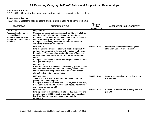# **PA Reporting Category: M06.A-R Ratios and Proportional Relationships**

#### **PA Core Standards:**

CC.2.1.6.D.1 Understand ratio concepts and use ratio reasoning to solve problems.

#### **Assessment Anchor**

M06.A-R.1 Understand ratio concepts and use ratio reasoning to solve problems.

| <b>DESCRIPTOR</b>                                                                                                                   | <b>ELIGIBLE CONTENT</b>                                                                                                                                                                                                                                                                                                                                                                  | <b>Alternate</b><br><b>Eligible</b><br><b>Content Code</b> | <b>ALTERNATE ELIGIBLE CONTENT</b>                                          |
|-------------------------------------------------------------------------------------------------------------------------------------|------------------------------------------------------------------------------------------------------------------------------------------------------------------------------------------------------------------------------------------------------------------------------------------------------------------------------------------------------------------------------------------|------------------------------------------------------------|----------------------------------------------------------------------------|
| M06.A-R.1.1<br><b>Represent and/or solve</b><br>real-world and<br>mathematical problems<br>using rates, ratios, and/or<br>percents. | M06.A-R.1.1.1<br>Use ratio language and notation (such as 3 to 4, 3:4, 3/4) to<br>describe a ratio relationship between two quantities.<br>Example 1: "The ratio of girls to boys in a math class is 2:3<br>because for every 2 girls there are 3 boys."<br>Example 2: "For every five votes candidate A received,<br>candidate B received four votes."                                  |                                                            |                                                                            |
|                                                                                                                                     | M06.A-R.1.1.2<br>Find the unit rate a/b associated with a ratio a:b (with $b \ne 0$ )<br>and use rate language in the context of a ratio relationship.<br>Example 1: "This recipe has a ratio of 3 cups of flour to 4<br>cups of sugar, so there is 3/4 cup of flour for each cup of<br>sugar."<br>Example 2: "We paid \$75 for 15 hamburgers, which is a rate<br>of \$5 per hamburger." | M06AR1.1.2a                                                | Identify the ratio that matches a given<br>statement and/or representation |
|                                                                                                                                     | M06.A-R.1.1.3<br>Construct tables of equivalent ratios relating quantities with<br>whole-number measurements, find missing values in the<br>tables, and/or plot the pairs of values on the coordinate<br>plane. Use tables to compare ratios.                                                                                                                                            |                                                            |                                                                            |
|                                                                                                                                     | M06.A-R.1.1.4<br>Solve unit rate problems including those involving unit<br>pricing and constant speed.<br>Example: If it took 7 hours to mow 4 lawns, then at that rate,<br>how many lawns could be mowed in 35 hours? At what rate<br>were lawns being mowed?                                                                                                                          | M06AR1.1.4a                                                | Solve a 1-step real-world problem given<br>the unit rate                   |
|                                                                                                                                     | M06.A-R.1.1.5<br>Find a percent of a quantity as a rate per 100 (e.g., 30% of a<br>quantity means 30/100 times the quantity); solve problems<br>involving finding the whole, given a part and the<br>percentage.                                                                                                                                                                         | M06AR1.1.5a                                                | Calculate a percent of a quantity as a rate<br>per 100                     |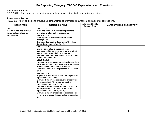# **PA Reporting Category: M06.B-E Expressions and Equations**

#### **PA Core Standards:**

CC.2.2.6.B.1 Apply and extend previous understandings of arithmetic to algebraic expressions.

#### **Assessment Anchor**

M06.B-E.1 Apply and extend previous understandings of arithmetic to numerical and algebraic expressions.

| <b>DESCRIPTOR</b>                                                       | <b>ELIGIBLE CONTENT</b>                                                                                                                                                                                                                                                                                                                                                                                                                                                   | <b>Alternate Eligible</b><br><b>Content Code</b> | <b>ALTERNATE ELIGIBLE CONTENT</b> |
|-------------------------------------------------------------------------|---------------------------------------------------------------------------------------------------------------------------------------------------------------------------------------------------------------------------------------------------------------------------------------------------------------------------------------------------------------------------------------------------------------------------------------------------------------------------|--------------------------------------------------|-----------------------------------|
| M06.B-E.1.1<br>Identify, write, and evaluate<br>numerical and algebraic | M06.B-E.1.1.1<br>Write and evaluate numerical expressions<br>involving whole-number exponents.                                                                                                                                                                                                                                                                                                                                                                            |                                                  |                                   |
| expressions.                                                            | M06.B-E.1.1.2<br>Write algebraic expressions from verbal<br>descriptions.<br><b>Example: Express the description "five less</b><br>than twice a number" as $2y - 5$ .                                                                                                                                                                                                                                                                                                     |                                                  |                                   |
|                                                                         | M06.B-E.1.1.3<br>Identify parts of an expression using<br>mathematical terms (e.g., sum, term, product,<br>factor, quotient, coefficient, quantity).<br>Example: Describe the expression $2(8 + 7)$ as a<br>product of two factors.                                                                                                                                                                                                                                       |                                                  |                                   |
|                                                                         | M06.B-E.1.1.4<br>Evaluate expressions at specific values of their<br>variables, including expressions that arise from<br>formulas used in real-world problems.<br>Example: Evaluate the expression $b^2 - 5$ when<br>$b = 4.$                                                                                                                                                                                                                                             |                                                  |                                   |
|                                                                         | M06.B-E.1.1.5<br>Apply the properties of operations to generate<br>equivalent expressions.<br>Example 1: Apply the distributive property to<br>the expression $3(2 + x)$ to produce the<br>equivalent expression 6 + 3x.<br>Example 2: Apply the distributive property to<br>the expression $24x + 18y$ to produce the<br>equivalent expression $6(4x + 3y)$ .<br>Example 3: Apply properties of operations to<br>$y + y + y$ to produce the equivalent expression<br>3у. |                                                  |                                   |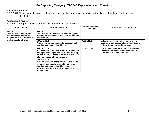# **PA Reporting Category: M06.B-E Expressions and Equations**

#### **PA Core Standards:**

CC.2.2.6.B.2 Understand the process of solving a one‐variable equation or inequality and apply to real‐world and mathematical problems.

#### **Assessment Anchor**

M06.B-E.2 Interpret and solve one-variable equations and inequalities.

| <b>DESCRIPTOR</b>                                                                                                                    | <b>ELIGIBLE CONTENT</b>                                                                                                                                                                                                          | <b>Alternate Eligible</b><br><b>Content Code</b> | <b>ALTERNATE ELIGIBLE CONTENT</b>                                                                                            |
|--------------------------------------------------------------------------------------------------------------------------------------|----------------------------------------------------------------------------------------------------------------------------------------------------------------------------------------------------------------------------------|--------------------------------------------------|------------------------------------------------------------------------------------------------------------------------------|
| M06.B-E.2.1<br>Create, solve, and interpret<br>one-variable equations or<br>inequalities in real-world and<br>mathematical problems. | M06.B-E.2.1.1<br>Use substitution to determine whether a given<br>number in a specified set makes an equation or<br>inequality true.                                                                                             |                                                  |                                                                                                                              |
|                                                                                                                                      | M06.B-E.2.1.2<br>Write algebraic expressions to represent real-<br>world or mathematical problems.                                                                                                                               | M06BE2.1.2a                                      | Select an algebraic expression involving<br>addition or subtraction of whole numbers to<br>solve a 1-step real-world problem |
|                                                                                                                                      | M06.B-E.2.1.3<br>Solve real-world and mathematical problems by<br>writing and solving equations of the form $x + p$<br>$=$ q and $px = q$ for cases in which p, q, and x are<br>all non-negative rational numbers.               | M06BE2.1.3a                                      | Use a 1-step algebraic expression to solve a<br>real-world problem involving addition or<br>subtraction of whole numbers     |
|                                                                                                                                      | M06.B-E.2.1.4<br>Write an inequality of the form $x > c$ or $x < c$ to<br>represent a constraint or condition in a real-<br>world or mathematical problem and/or<br>represent solutions of such inequalities on<br>number lines. |                                                  |                                                                                                                              |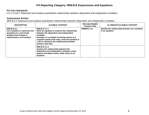# **PA Reporting Category: M06.B-E Expressions and Equations**

#### **PA Core Standards:**

CC.2.2.6.B.3 Represent and analyze quantitative relationships between dependent and independent variables.

#### **Assessment Anchor**

M06.B-E.3 Represent and analyze quantitative relationships between dependent and independent variables.

| <b>DESCRIPTOR</b>                                                                                                                     | <b>ELIGIBLE CONTENT</b>                                                                                                                                                                                                                                                                       | <b>Alternate Eligible</b><br><b>Content Code</b> | <b>ALTERNATE ELIGIBLE CONTENT</b>                                 |
|---------------------------------------------------------------------------------------------------------------------------------------|-----------------------------------------------------------------------------------------------------------------------------------------------------------------------------------------------------------------------------------------------------------------------------------------------|--------------------------------------------------|-------------------------------------------------------------------|
| M06.B-E.3.1<br>Use variables to represent two<br>quantities in a real-world<br>problem that change in<br>relationship to one another. | M06.B-E.3.1.1<br>Write an equation to express the relationship<br>between the dependent and independent<br>variables.<br>Example: In a problem involving motion at a<br>constant speed of 65 units, write the equation d<br>= 65t to represent the relationship between<br>distance and time. | M06BE3.1.1a                                      | Identify the relationship between two variables<br>in an equation |
|                                                                                                                                       | M06.B-E.3.1.2<br>Analyze the relationship between the<br>dependent and independent variables using<br>graphs and tables and/or relate these to an<br>equation.                                                                                                                                |                                                  |                                                                   |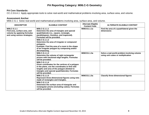# **PA Reporting Category: M06.C-G Geometry**

#### **PA Core Standards:**

CC.2.3.6.A.1 Apply appropriate tools to solve real-world and mathematical problems involving area, surface area, and volume.

#### **Assessment Anchor**

M06.C-G.1 Solve real-world and mathematical problems involving area, surface area, and volume.

| <b>DESCRIPTOR</b>                                                                                           | <b>ELIGIBLE CONTENT</b>                                                                                                                                                                                                                   | <b>Alternate Eligible</b><br><b>Content Code</b> | <b>ALTERNATE ELIGIBLE CONTENT</b>                                                 |
|-------------------------------------------------------------------------------------------------------------|-------------------------------------------------------------------------------------------------------------------------------------------------------------------------------------------------------------------------------------------|--------------------------------------------------|-----------------------------------------------------------------------------------|
| M06.C-G.1.1<br>Find area, surface area, and<br>volume by applying formulas<br>and using various strategies. | M06.C-G.1.1.1<br>Determine the area of triangles and special<br>quadrilaterals (i.e., square, rectangle,<br>parallelogram, rhombus, and trapezoid).<br>Formulas will be provided.                                                         | M06CG1.1.1a                                      | Find the area of a quadrilateral given the<br>dimensions                          |
|                                                                                                             | M06.C-G.1.1.2<br>Determine the area of irregular or compound<br>polygons.<br>Example: Find the area of a room in the shape<br>of an irregular polygon by composing and/or<br>decomposing.                                                 |                                                  |                                                                                   |
|                                                                                                             | M06.C-G.1.1.3<br>Determine the volume of right rectangular<br>prisms with fractional edge lengths. Formulas<br>will be provided.                                                                                                          | M06CG1.1.3a                                      | Solve a real-world problem involving volume<br>using unit cubes or multiplication |
|                                                                                                             | M06.C-G.1.1.4<br>Given coordinates for the vertices of a polygon<br>in the plane, use the coordinates to find side<br>lengths and area of the polygon (limited to<br>triangles and special quadrilaterals). Formulas<br>will be provided. |                                                  |                                                                                   |
|                                                                                                             | M06.C-G.1.1.5<br>Represent three-dimensional figures using nets<br>made of rectangles and triangles.                                                                                                                                      | M06CG1.1.5a                                      | <b>Classify three-dimensional figures</b>                                         |
|                                                                                                             | M06.C-G.1.1.6<br>Determine the surface area of triangular and<br>rectangular prisms (including cubes). Formulas<br>will be provided.                                                                                                      |                                                  |                                                                                   |